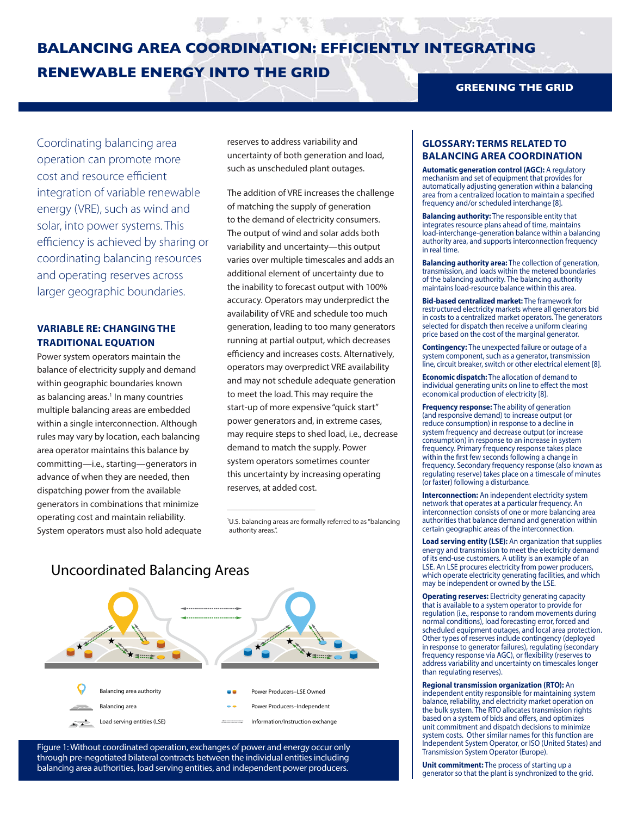# **BALANCING AREA COORDINATION: EFFICIENTLY INTEGRATING RENEWABLE ENERGY INTO THE GRID**

Coordinating balancing area operation can promote more cost and resource efficient integration of variable renewable energy (VRE), such as wind and solar, into power systems. This efficiency is achieved by sharing or coordinating balancing resources and operating reserves across larger geographic boundaries.

## **VARIABLE RE: CHANGING THE TRADITIONAL EQUATION**

Power system operators maintain the balance of electricity supply and demand within geographic boundaries known as balancing areas.<sup>1</sup> In many countries multiple balancing areas are embedded within a single interconnection. Although rules may vary by location, each balancing area operator maintains this balance by committing—i.e., starting—generators in advance of when they are needed, then dispatching power from the available generators in combinations that minimize operating cost and maintain reliability. System operators must also hold adequate reserves to address variability and uncertainty of both generation and load, such as unscheduled plant outages.

The addition of VRE increases the challenge of matching the supply of generation to the demand of electricity consumers. The output of wind and solar adds both variability and uncertainty—this output varies over multiple timescales and adds an additional element of uncertainty due to the inability to forecast output with 100% accuracy. Operators may underpredict the availability of VRE and schedule too much generation, leading to too many generators running at partial output, which decreases efficiency and increases costs. Alternatively, operators may overpredict VRE availability and may not schedule adequate generation to meet the load. This may require the start-up of more expensive "quick start" power generators and, in extreme cases, may require steps to shed load, i.e., decrease demand to match the supply. Power system operators sometimes counter this uncertainty by increasing operating reserves, at added cost.

1 U.S. balancing areas are formally referred to as "balancing authority areas.".

 $\overline{\phantom{a}}$  , where  $\overline{\phantom{a}}$  , where  $\overline{\phantom{a}}$  , where  $\overline{\phantom{a}}$ 

## Uncoordinated Balancing Areas ₹₩ Balancing area authority Power Producers–LSE Owned Balancing area Power Producers–Independent Load serving entities (LSE) Information/Instruction exchange

Figure 1: Without coordinated operation, exchanges of power and energy occur only through pre-negotiated bilateral contracts between the individual entities including balancing area authorities, load serving entities, and independent power producers.

### **GREENING THE GRID**

## **GLOSSARY: TERMS RELATED TO BALANCING AREA COORDINATION**

**Automatic generation control (AGC):** A regulatory mechanism and set of equipment that provides for automatically adjusting generation within a balancing area from a centralized location to maintain a specified frequency and/or scheduled interchange [8].

**Balancing authority:** The responsible entity that integrates resource plans ahead of time, maintains load-interchange-generation balance within a balancing authority area, and supports interconnection frequency in real time.

**Balancing authority area:** The collection of generation, transmission, and loads within the metered boundaries of the balancing authority. The balancing authority maintains load-resource balance within this area.

**Bid-based centralized market:** The framework for restructured electricity markets where all generators bid in costs to a centralized market operators. The generators selected for dispatch then receive a uniform clearing price based on the cost of the marginal generator.

**Contingency:** The unexpected failure or outage of a system component, such as a generator, transmission line, circuit breaker, switch or other electrical element [8].

**Economic dispatch:** The allocation of demand to individual generating units on line to effect the most economical production of electricity [8].

**Frequency response:** The ability of generation (and responsive demand) to increase output (or reduce consumption) in response to a decline in system frequency and decrease output (or increase consumption) in response to an increase in system frequency. Primary frequency response takes place within the first few seconds following a change in frequency. Secondary frequency response (also known as regulating reserve) takes place on a timescale of minutes (or faster) following a disturbance.

**Interconnection:** An independent electricity system network that operates at a particular frequency. An interconnection consists of one or more balancing area authorities that balance demand and generation within certain geographic areas of the interconnection.

**Load serving entity (LSE):** An organization that supplies energy and transmission to meet the electricity demand of its end-use customers. A utility is an example of an LSE. An LSE procures electricity from power producers, which operate electricity generating facilities, and which may be independent or owned by the LSE.

**Operating reserves:** Electricity generating capacity that is available to a system operator to provide for regulation (i.e., response to random movements during normal conditions), load forecasting error, forced and scheduled equipment outages, and local area protection. Other types of reserves include contingency (deployed in response to generator failures), regulating (secondary frequency response via AGC), or flexibility (reserves to address variability and uncertainty on timescales longer than regulating reserves).

**Regional transmission organization (RTO):** An independent entity responsible for maintaining system balance, reliability, and electricity market operation on the bulk system. The RTO allocates transmission rights based on a system of bids and offers, and optimizes unit commitment and dispatch decisions to minimize system costs. Other similar names for this function are Independent System Operator, or ISO (United States) and Transmission System Operator (Europe).

**Unit commitment:** The process of starting up a generator so that the plant is synchronized to the grid.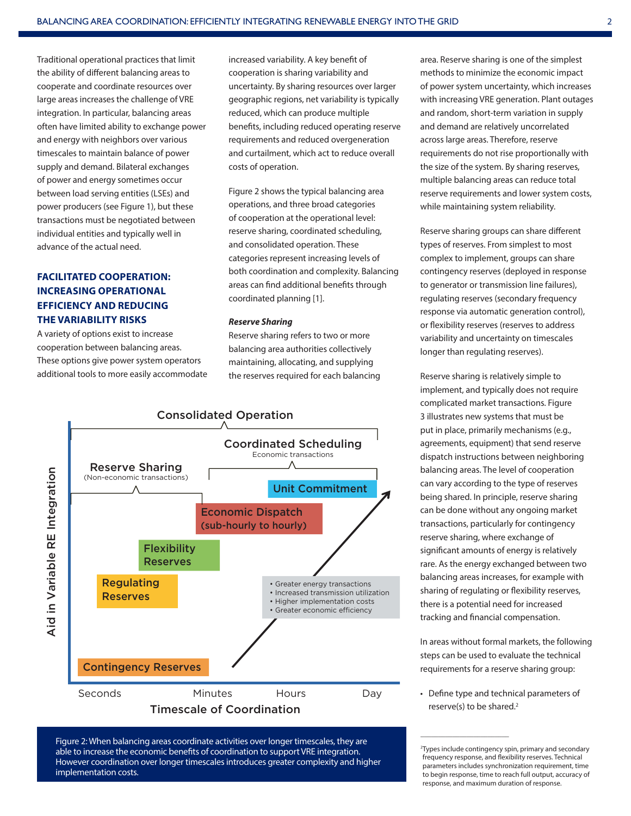Traditional operational practices that limit the ability of different balancing areas to cooperate and coordinate resources over large areas increases the challenge of VRE integration. In particular, balancing areas often have limited ability to exchange power and energy with neighbors over various timescales to maintain balance of power supply and demand. Bilateral exchanges of power and energy sometimes occur between load serving entities (LSEs) and power producers (see Figure 1), but these transactions must be negotiated between individual entities and typically well in advance of the actual need.

## **FACILITATED COOPERATION: INCREASING OPERATIONAL EFFICIENCY AND REDUCING THE VARIABILITY RISKS**

A variety of options exist to increase cooperation between balancing areas. These options give power system operators additional tools to more easily accommodate increased variability. A key benefit of cooperation is sharing variability and uncertainty. By sharing resources over larger geographic regions, net variability is typically reduced, which can produce multiple benefits, including reduced operating reserve requirements and reduced overgeneration and curtailment, which act to reduce overall costs of operation.

Figure 2 shows the typical balancing area operations, and three broad categories of cooperation at the operational level: reserve sharing, coordinated scheduling, and consolidated operation. These categories represent increasing levels of both coordination and complexity. Balancing areas can find additional benefits through coordinated planning [1].

#### *Reserve Sharing*

Reserve sharing refers to two or more balancing area authorities collectively maintaining, allocating, and supplying the reserves required for each balancing



Figure 2: When balancing areas coordinate activities over longer timescales, they are able to increase the economic benefits of coordination to support VRE integration. However coordination over longer timescales introduces greater complexity and higher implementation costs.

area. Reserve sharing is one of the simplest methods to minimize the economic impact of power system uncertainty, which increases with increasing VRE generation. Plant outages and random, short-term variation in supply and demand are relatively uncorrelated across large areas. Therefore, reserve requirements do not rise proportionally with the size of the system. By sharing reserves, multiple balancing areas can reduce total reserve requirements and lower system costs, while maintaining system reliability.

Reserve sharing groups can share different types of reserves. From simplest to most complex to implement, groups can share contingency reserves (deployed in response to generator or transmission line failures), regulating reserves (secondary frequency response via automatic generation control), or flexibility reserves (reserves to address variability and uncertainty on timescales longer than regulating reserves).

Reserve sharing is relatively simple to implement, and typically does not require complicated market transactions. Figure 3 illustrates new systems that must be put in place, primarily mechanisms (e.g., agreements, equipment) that send reserve dispatch instructions between neighboring balancing areas. The level of cooperation can vary according to the type of reserves being shared. In principle, reserve sharing can be done without any ongoing market transactions, particularly for contingency reserve sharing, where exchange of significant amounts of energy is relatively rare. As the energy exchanged between two balancing areas increases, for example with sharing of regulating or flexibility reserves, there is a potential need for increased tracking and financial compensation.

In areas without formal markets, the following steps can be used to evaluate the technical requirements for a reserve sharing group:

• Define type and technical parameters of reserve(s) to be shared.<sup>2</sup>

 $\overline{\phantom{a}}$  , where  $\overline{\phantom{a}}$  , where  $\overline{\phantom{a}}$  , where  $\overline{\phantom{a}}$ 

<sup>2</sup> Types include contingency spin, primary and secondary frequency response, and flexibility reserves. Technical parameters includes synchronization requirement, time to begin response, time to reach full output, accuracy of response, and maximum duration of response.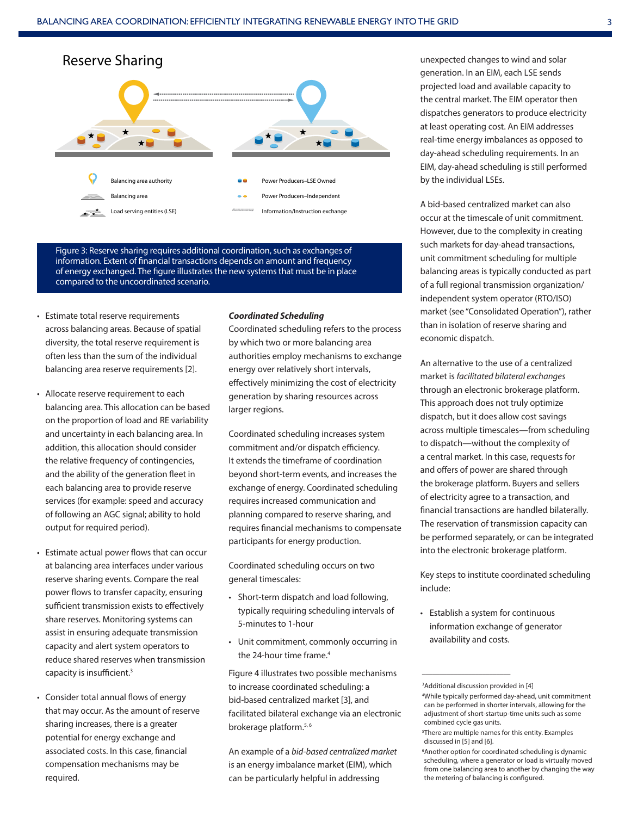

Figure 3: Reserve sharing requires additional coordination, such as exchanges of information. Extent of financial transactions depends on amount and frequency of energy exchanged. The figure illustrates the new systems that must be in place compared to the uncoordinated scenario.

- Estimate total reserve requirements across balancing areas. Because of spatial diversity, the total reserve requirement is often less than the sum of the individual balancing area reserve requirements [2].
- Allocate reserve requirement to each balancing area. This allocation can be based on the proportion of load and RE variability and uncertainty in each balancing area. In addition, this allocation should consider the relative frequency of contingencies, and the ability of the generation fleet in each balancing area to provide reserve services (for example: speed and accuracy of following an AGC signal; ability to hold output for required period).
- Estimate actual power flows that can occur at balancing area interfaces under various reserve sharing events. Compare the real power flows to transfer capacity, ensuring sufficient transmission exists to effectively share reserves. Monitoring systems can assist in ensuring adequate transmission capacity and alert system operators to reduce shared reserves when transmission capacity is insufficient.3
- Consider total annual flows of energy that may occur. As the amount of reserve sharing increases, there is a greater potential for energy exchange and associated costs. In this case, financial compensation mechanisms may be required.

#### *Coordinated Scheduling*

Coordinated scheduling refers to the process by which two or more balancing area authorities employ mechanisms to exchange energy over relatively short intervals, effectively minimizing the cost of electricity generation by sharing resources across larger regions.

Coordinated scheduling increases system commitment and/or dispatch efficiency. It extends the timeframe of coordination beyond short-term events, and increases the exchange of energy. Coordinated scheduling requires increased communication and planning compared to reserve sharing, and requires financial mechanisms to compensate participants for energy production.

Coordinated scheduling occurs on two general timescales:

- Short-term dispatch and load following, typically requiring scheduling intervals of 5-minutes to 1-hour
- Unit commitment, commonly occurring in the 24-hour time frame.<sup>4</sup>

Figure 4 illustrates two possible mechanisms to increase coordinated scheduling: a bid-based centralized market [3], and facilitated bilateral exchange via an electronic brokerage platform.<sup>5, 6</sup>

An example of a *bid-based centralized market* is an energy imbalance market (EIM), which can be particularly helpful in addressing

unexpected changes to wind and solar generation. In an EIM, each LSE sends projected load and available capacity to the central market. The EIM operator then dispatches generators to produce electricity at least operating cost. An EIM addresses real-time energy imbalances as opposed to day-ahead scheduling requirements. In an EIM, day-ahead scheduling is still performed by the individual LSEs.

A bid-based centralized market can also occur at the timescale of unit commitment. However, due to the complexity in creating such markets for day-ahead transactions, unit commitment scheduling for multiple balancing areas is typically conducted as part of a full regional transmission organization/ independent system operator (RTO/ISO) market (see "Consolidated Operation"), rather than in isolation of reserve sharing and economic dispatch.

An alternative to the use of a centralized market is *facilitated bilateral exchanges* through an electronic brokerage platform. This approach does not truly optimize dispatch, but it does allow cost savings across multiple timescales—from scheduling to dispatch—without the complexity of a central market. In this case, requests for and offers of power are shared through the brokerage platform. Buyers and sellers of electricity agree to a transaction, and financial transactions are handled bilaterally. The reservation of transmission capacity can be performed separately, or can be integrated into the electronic brokerage platform.

Key steps to institute coordinated scheduling include:

• Establish a system for continuous information exchange of generator availability and costs.

\_\_\_\_\_\_\_\_\_\_\_\_\_\_\_\_\_\_\_\_\_\_\_\_\_

<sup>3</sup> Additional discussion provided in [4]

<sup>4</sup> While typically performed day-ahead, unit commitment can be performed in shorter intervals, allowing for the adjustment of short-startup-time units such as some combined cycle gas units.

<sup>5</sup> There are multiple names for this entity. Examples discussed in [5] and [6].

<sup>6</sup> Another option for coordinated scheduling is dynamic scheduling, where a generator or load is virtually moved from one balancing area to another by changing the way the metering of balancing is configured.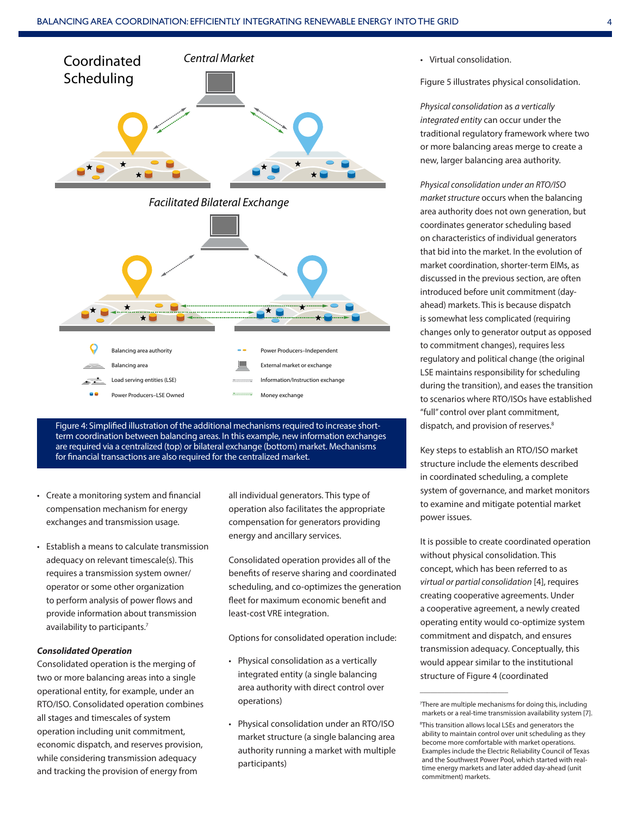

Figure 4: Simplified illustration of the additional mechanisms required to increase shortterm coordination between balancing areas. In this example, new information exchanges are required via a centralized (top) or bilateral exchange (bottom) market. Mechanisms for financial transactions are also required for the centralized market.

- Create a monitoring system and financial compensation mechanism for energy exchanges and transmission usage.
- Establish a means to calculate transmission adequacy on relevant timescale(s). This requires a transmission system owner/ operator or some other organization to perform analysis of power flows and provide information about transmission availability to participants.<sup>7</sup>

#### *Consolidated Operation*

Consolidated operation is the merging of two or more balancing areas into a single operational entity, for example, under an RTO/ISO. Consolidated operation combines all stages and timescales of system operation including unit commitment, economic dispatch, and reserves provision, while considering transmission adequacy and tracking the provision of energy from

all individual generators. This type of operation also facilitates the appropriate compensation for generators providing energy and ancillary services.

Consolidated operation provides all of the benefits of reserve sharing and coordinated scheduling, and co-optimizes the generation fleet for maximum economic benefit and least-cost VRE integration.

Options for consolidated operation include:

- Physical consolidation as a vertically integrated entity (a single balancing area authority with direct control over operations)
- Physical consolidation under an RTO/ISO market structure (a single balancing area authority running a market with multiple participants)

• Virtual consolidation.

Figure 5 illustrates physical consolidation.

*Physical consolidation* as *a vertically integrated entity* can occur under the traditional regulatory framework where two or more balancing areas merge to create a new, larger balancing area authority.

*Physical consolidation under an RTO/ISO market structure* occurs when the balancing area authority does not own generation, but coordinates generator scheduling based on characteristics of individual generators that bid into the market. In the evolution of market coordination, shorter-term EIMs, as discussed in the previous section, are often introduced before unit commitment (dayahead) markets. This is because dispatch is somewhat less complicated (requiring changes only to generator output as opposed to commitment changes), requires less regulatory and political change (the original LSE maintains responsibility for scheduling during the transition), and eases the transition to scenarios where RTO/ISOs have established "full" control over plant commitment, dispatch, and provision of reserves.<sup>8</sup>

Key steps to establish an RTO/ISO market structure include the elements described in coordinated scheduling, a complete system of governance, and market monitors to examine and mitigate potential market power issues.

It is possible to create coordinated operation without physical consolidation. This concept, which has been referred to as *virtual or partial consolidation* [4], requires creating cooperative agreements. Under a cooperative agreement, a newly created operating entity would co-optimize system commitment and dispatch, and ensures transmission adequacy. Conceptually, this would appear similar to the institutional structure of Figure 4 (coordinated

 $\overline{\phantom{a}}$  , where  $\overline{\phantom{a}}$  , where  $\overline{\phantom{a}}$  , where  $\overline{\phantom{a}}$ 

<sup>7</sup> There are multiple mechanisms for doing this, including markets or a real-time transmission availability system [7].

<sup>8</sup> This transition allows local LSEs and generators the ability to maintain control over unit scheduling as they become more comfortable with market operations. Examples include the Electric Reliability Council of Texas and the Southwest Power Pool, which started with realtime energy markets and later added day-ahead (unit commitment) markets.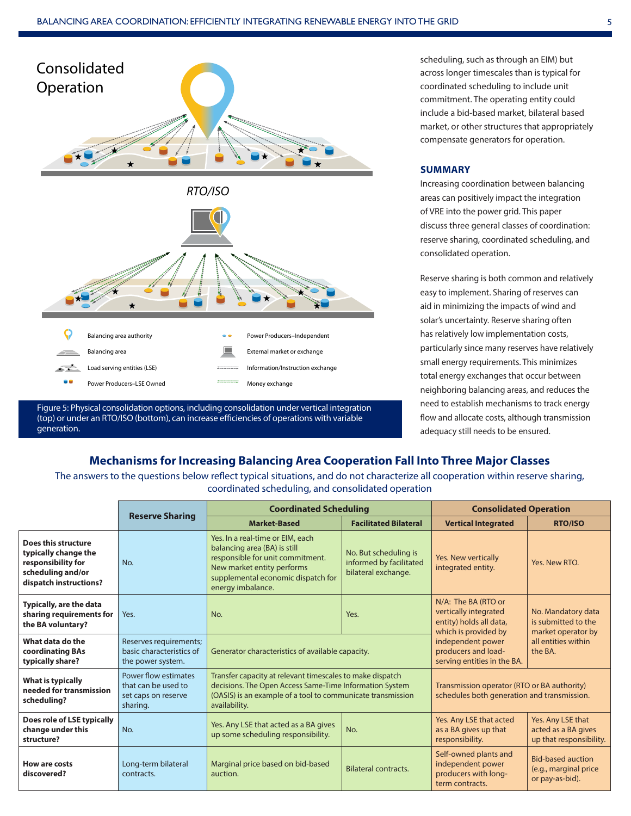

Figure 5: Physical consolidation options, including consolidation under vertical integration (top) or under an RTO/ISO (bottom), can increase efficiencies of operations with variable generation.

scheduling, such as through an EIM) but across longer timescales than is typical for coordinated scheduling to include unit commitment. The operating entity could include a bid-based market, bilateral based market, or other structures that appropriately compensate generators for operation.

#### **SUMMARY**

Increasing coordination between balancing areas can positively impact the integration of VRE into the power grid. This paper discuss three general classes of coordination: reserve sharing, coordinated scheduling, and consolidated operation.

Reserve sharing is both common and relatively easy to implement. Sharing of reserves can aid in minimizing the impacts of wind and solar's uncertainty. Reserve sharing often has relatively low implementation costs, particularly since many reserves have relatively small energy requirements. This minimizes total energy exchanges that occur between neighboring balancing areas, and reduces the need to establish mechanisms to track energy flow and allocate costs, although transmission adequacy still needs to be ensured.

## **Mechanisms for Increasing Balancing Area Cooperation Fall Into Three Major Classes**

The answers to the questions below reflect typical situations, and do not characterize all cooperation within reserve sharing, coordinated scheduling, and consolidated operation

|                                                                                                                  | <b>Reserve Sharing</b>                                                         | <b>Coordinated Scheduling</b>                                                                                                                                                                        |                                                                         | <b>Consolidated Operation</b>                                                                   |                                                                      |
|------------------------------------------------------------------------------------------------------------------|--------------------------------------------------------------------------------|------------------------------------------------------------------------------------------------------------------------------------------------------------------------------------------------------|-------------------------------------------------------------------------|-------------------------------------------------------------------------------------------------|----------------------------------------------------------------------|
|                                                                                                                  |                                                                                | <b>Market-Based</b>                                                                                                                                                                                  | <b>Facilitated Bilateral</b>                                            | <b>Vertical Integrated</b>                                                                      | <b>RTO/ISO</b>                                                       |
| Does this structure<br>typically change the<br>responsibility for<br>scheduling and/or<br>dispatch instructions? | No.                                                                            | Yes. In a real-time or EIM, each<br>balancing area (BA) is still<br>responsible for unit commitment.<br>New market entity performs<br>supplemental economic dispatch for<br>energy imbalance.        | No. But scheduling is<br>informed by facilitated<br>bilateral exchange. | Yes. New vertically<br>integrated entity.                                                       | Yes, New RTO.                                                        |
| Typically, are the data<br>sharing requirements for<br>the BA voluntary?                                         | Yes.                                                                           | No.                                                                                                                                                                                                  | Yes.                                                                    | N/A: The BA (RTO or<br>vertically integrated<br>entity) holds all data,<br>which is provided by | No. Mandatory data<br>is submitted to the<br>market operator by      |
| What data do the<br>coordinating BAs<br>typically share?                                                         | Reserves requirements;<br>basic characteristics of<br>the power system.        | Generator characteristics of available capacity.                                                                                                                                                     |                                                                         | independent power<br>producers and load-<br>serving entities in the BA.                         | all entities within<br>the BA.                                       |
| <b>What is typically</b><br>needed for transmission<br>scheduling?                                               | Power flow estimates<br>that can be used to<br>set caps on reserve<br>sharing. | Transfer capacity at relevant timescales to make dispatch<br>decisions. The Open Access Same-Time Information System<br>(OASIS) is an example of a tool to communicate transmission<br>availability. |                                                                         | Transmission operator (RTO or BA authority)<br>schedules both generation and transmission.      |                                                                      |
| Does role of LSE typically<br>change under this<br>structure?                                                    | No.                                                                            | Yes. Any LSE that acted as a BA gives<br>up some scheduling responsibility.                                                                                                                          | No.                                                                     | Yes. Any LSE that acted<br>as a BA gives up that<br>responsibility.                             | Yes. Any LSE that<br>acted as a BA gives<br>up that responsibility.  |
| How are costs<br>discovered?                                                                                     | Long-term bilateral<br>contracts.                                              | Marginal price based on bid-based<br>auction.                                                                                                                                                        | <b>Bilateral contracts.</b>                                             | Self-owned plants and<br>independent power<br>producers with long-<br>term contracts.           | <b>Bid-based auction</b><br>(e.g., marginal price<br>or pay-as-bid). |